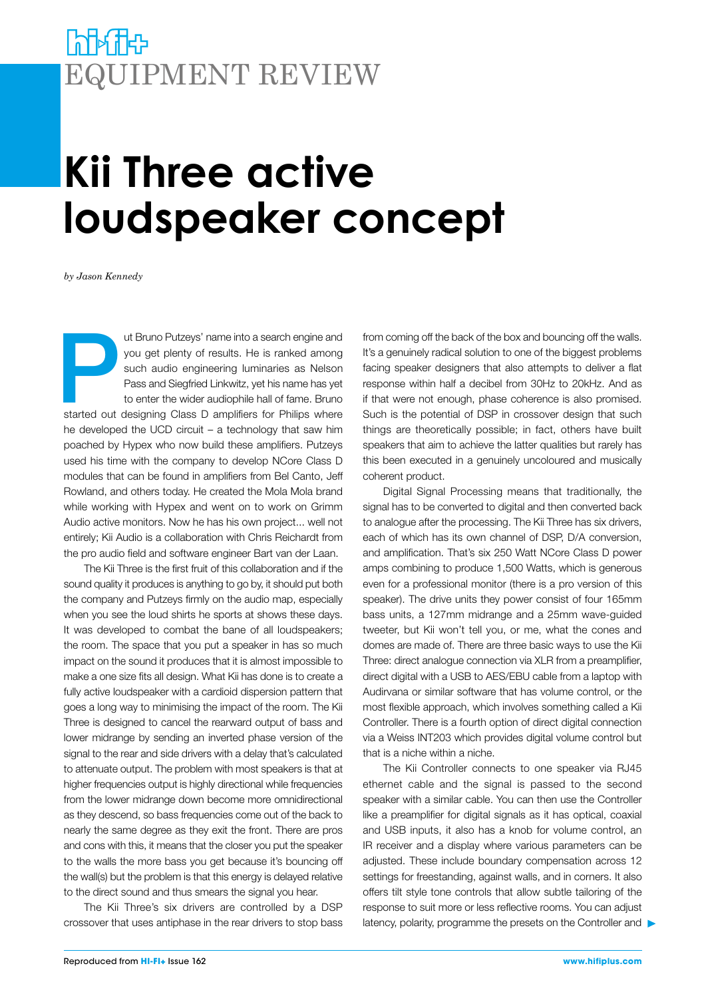# **PAPA THEP** EQUIPMENT REVIEW

# **Kii Three active loudspeaker concept**

*by Jason Kennedy*

ut Bruno Putzeys' name into a search engine and<br>
you get plenty of results. He is ranked among<br>
such audio engineering luminaries as Nelson<br>
Pass and Siegfried Linkwitz, yet his name has yet<br>
to enter the wider audiophile you get plenty of results. He is ranked among such audio engineering luminaries as Nelson Pass and Siegfried Linkwitz, yet his name has yet to enter the wider audiophile hall of fame. Bruno he developed the UCD circuit – a technology that saw him poached by Hypex who now build these amplifiers. Putzeys used his time with the company to develop NCore Class D modules that can be found in amplifiers from Bel Canto, Jeff Rowland, and others today. He created the Mola Mola brand while working with Hypex and went on to work on Grimm Audio active monitors. Now he has his own project... well not entirely; Kii Audio is a collaboration with Chris Reichardt from the pro audio field and software engineer Bart van der Laan.

The Kii Three is the first fruit of this collaboration and if the sound quality it produces is anything to go by, it should put both the company and Putzeys firmly on the audio map, especially when you see the loud shirts he sports at shows these days. It was developed to combat the bane of all loudspeakers; the room. The space that you put a speaker in has so much impact on the sound it produces that it is almost impossible to make a one size fits all design. What Kii has done is to create a fully active loudspeaker with a cardioid dispersion pattern that goes a long way to minimising the impact of the room. The Kii Three is designed to cancel the rearward output of bass and lower midrange by sending an inverted phase version of the signal to the rear and side drivers with a delay that's calculated to attenuate output. The problem with most speakers is that at higher frequencies output is highly directional while frequencies from the lower midrange down become more omnidirectional as they descend, so bass frequencies come out of the back to nearly the same degree as they exit the front. There are pros and cons with this, it means that the closer you put the speaker to the walls the more bass you get because it's bouncing off the wall(s) but the problem is that this energy is delayed relative to the direct sound and thus smears the signal you hear.

The Kii Three's six drivers are controlled by a DSP crossover that uses antiphase in the rear drivers to stop bass from coming off the back of the box and bouncing off the walls. It's a genuinely radical solution to one of the biggest problems facing speaker designers that also attempts to deliver a flat response within half a decibel from 30Hz to 20kHz. And as if that were not enough, phase coherence is also promised. Such is the potential of DSP in crossover design that such things are theoretically possible; in fact, others have built speakers that aim to achieve the latter qualities but rarely has this been executed in a genuinely uncoloured and musically coherent product.

Digital Signal Processing means that traditionally, the signal has to be converted to digital and then converted back to analogue after the processing. The Kii Three has six drivers, each of which has its own channel of DSP, D/A conversion, and amplification. That's six 250 Watt NCore Class D power amps combining to produce 1,500 Watts, which is generous even for a professional monitor (there is a pro version of this speaker). The drive units they power consist of four 165mm bass units, a 127mm midrange and a 25mm wave-guided tweeter, but Kii won't tell you, or me, what the cones and domes are made of. There are three basic ways to use the Kii Three: direct analogue connection via XLR from a preamplifier, direct digital with a USB to AES/EBU cable from a laptop with Audirvana or similar software that has volume control, or the most flexible approach, which involves something called a Kii Controller. There is a fourth option of direct digital connection via a Weiss INT203 which provides digital volume control but that is a niche within a niche.

The Kii Controller connects to one speaker via RJ45 ethernet cable and the signal is passed to the second speaker with a similar cable. You can then use the Controller like a preamplifier for digital signals as it has optical, coaxial and USB inputs, it also has a knob for volume control, an IR receiver and a display where various parameters can be adjusted. These include boundary compensation across 12 settings for freestanding, against walls, and in corners. It also offers tilt style tone controls that allow subtle tailoring of the response to suit more or less reflective rooms. You can adjust latency, polarity, programme the presets on the Controller and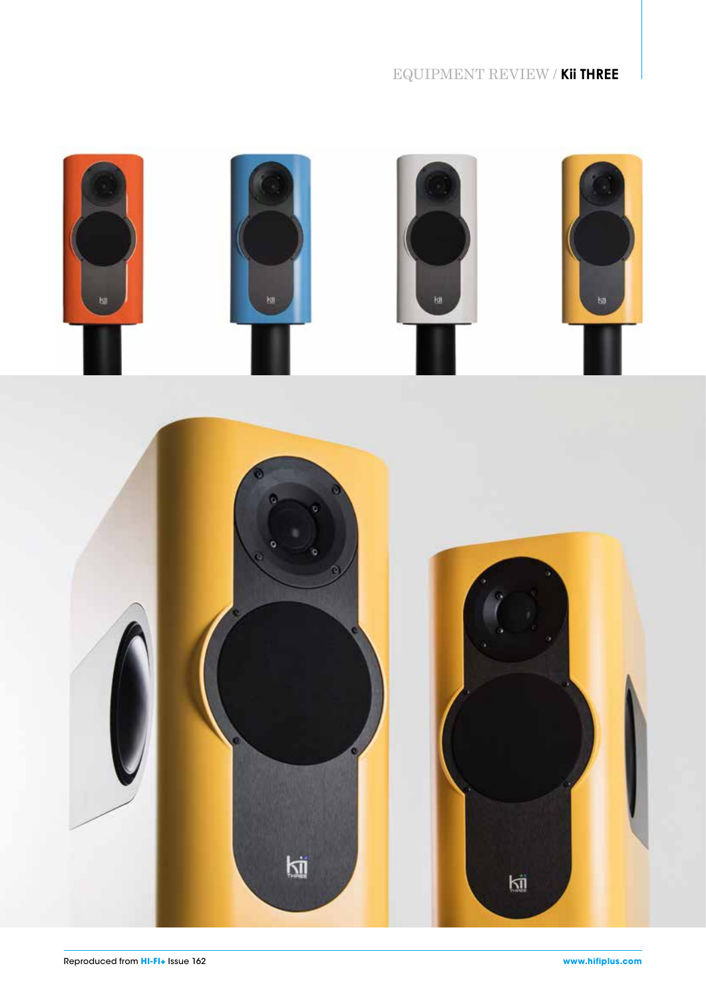### EQUIPMENT REVIEW / **Kii THREE**



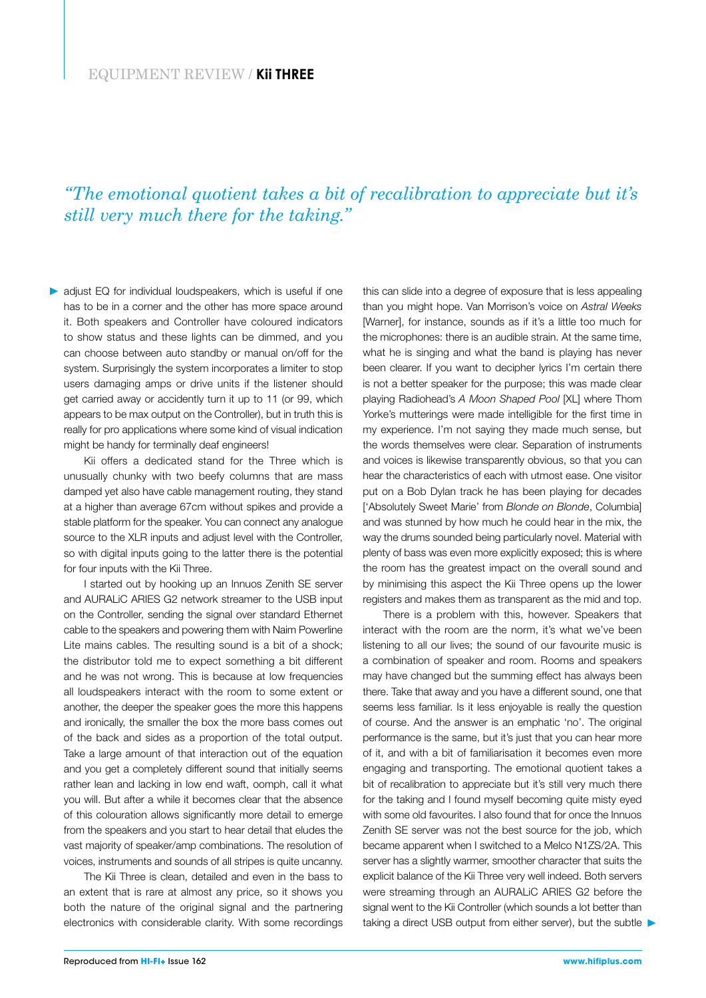## *"The emotional quotient takes a bit of recalibration to appreciate but it's still very much there for the taking."*

adjust EQ for individual loudspeakers, which is useful if one has to be in a corner and the other has more space around it. Both speakers and Controller have coloured indicators to show status and these lights can be dimmed, and you can choose between auto standby or manual on/off for the system. Surprisingly the system incorporates a limiter to stop users damaging amps or drive units if the listener should get carried away or accidently turn it up to 11 (or 99, which appears to be max output on the Controller), but in truth this is really for pro applications where some kind of visual indication might be handy for terminally deaf engineers!

Kii offers a dedicated stand for the Three which is unusually chunky with two beefy columns that are mass damped yet also have cable management routing, they stand at a higher than average 67cm without spikes and provide a stable platform for the speaker. You can connect any analogue source to the XLR inputs and adjust level with the Controller, so with digital inputs going to the latter there is the potential for four inputs with the Kii Three.

I started out by hooking up an Innuos Zenith SE server and AURALiC ARIES G2 network streamer to the USB input on the Controller, sending the signal over standard Ethernet cable to the speakers and powering them with Naim Powerline Lite mains cables. The resulting sound is a bit of a shock; the distributor told me to expect something a bit different and he was not wrong. This is because at low frequencies all loudspeakers interact with the room to some extent or another, the deeper the speaker goes the more this happens and ironically, the smaller the box the more bass comes out of the back and sides as a proportion of the total output. Take a large amount of that interaction out of the equation and you get a completely different sound that initially seems rather lean and lacking in low end waft, oomph, call it what you will. But after a while it becomes clear that the absence of this colouration allows significantly more detail to emerge from the speakers and you start to hear detail that eludes the vast majority of speaker/amp combinations. The resolution of voices, instruments and sounds of all stripes is quite uncanny.

The Kii Three is clean, detailed and even in the bass to an extent that is rare at almost any price, so it shows you both the nature of the original signal and the partnering electronics with considerable clarity. With some recordings this can slide into a degree of exposure that is less appealing than you might hope. Van Morrison's voice on *Astral Weeks*  [Warner], for instance, sounds as if it's a little too much for the microphones: there is an audible strain. At the same time, what he is singing and what the band is playing has never been clearer. If you want to decipher lyrics I'm certain there is not a better speaker for the purpose; this was made clear playing Radiohead's *A Moon Shaped Pool* [XL] where Thom Yorke's mutterings were made intelligible for the first time in my experience. I'm not saying they made much sense, but the words themselves were clear. Separation of instruments and voices is likewise transparently obvious, so that you can hear the characteristics of each with utmost ease. One visitor put on a Bob Dylan track he has been playing for decades ['Absolutely Sweet Marie' from *Blonde on Blonde*, Columbia] and was stunned by how much he could hear in the mix, the way the drums sounded being particularly novel. Material with plenty of bass was even more explicitly exposed; this is where the room has the greatest impact on the overall sound and by minimising this aspect the Kii Three opens up the lower registers and makes them as transparent as the mid and top.

There is a problem with this, however. Speakers that interact with the room are the norm, it's what we've been listening to all our lives; the sound of our favourite music is a combination of speaker and room. Rooms and speakers may have changed but the summing effect has always been there. Take that away and you have a different sound, one that seems less familiar. Is it less enjoyable is really the question of course. And the answer is an emphatic 'no'. The original performance is the same, but it's just that you can hear more of it, and with a bit of familiarisation it becomes even more engaging and transporting. The emotional quotient takes a bit of recalibration to appreciate but it's still very much there for the taking and I found myself becoming quite misty eyed with some old favourites. I also found that for once the Innuos Zenith SE server was not the best source for the job, which became apparent when I switched to a Melco N1ZS/2A. This server has a slightly warmer, smoother character that suits the explicit balance of the Kii Three very well indeed. Both servers were streaming through an AURALiC ARIES G2 before the signal went to the Kii Controller (which sounds a lot better than taking a direct USB output from either server), but the subtle